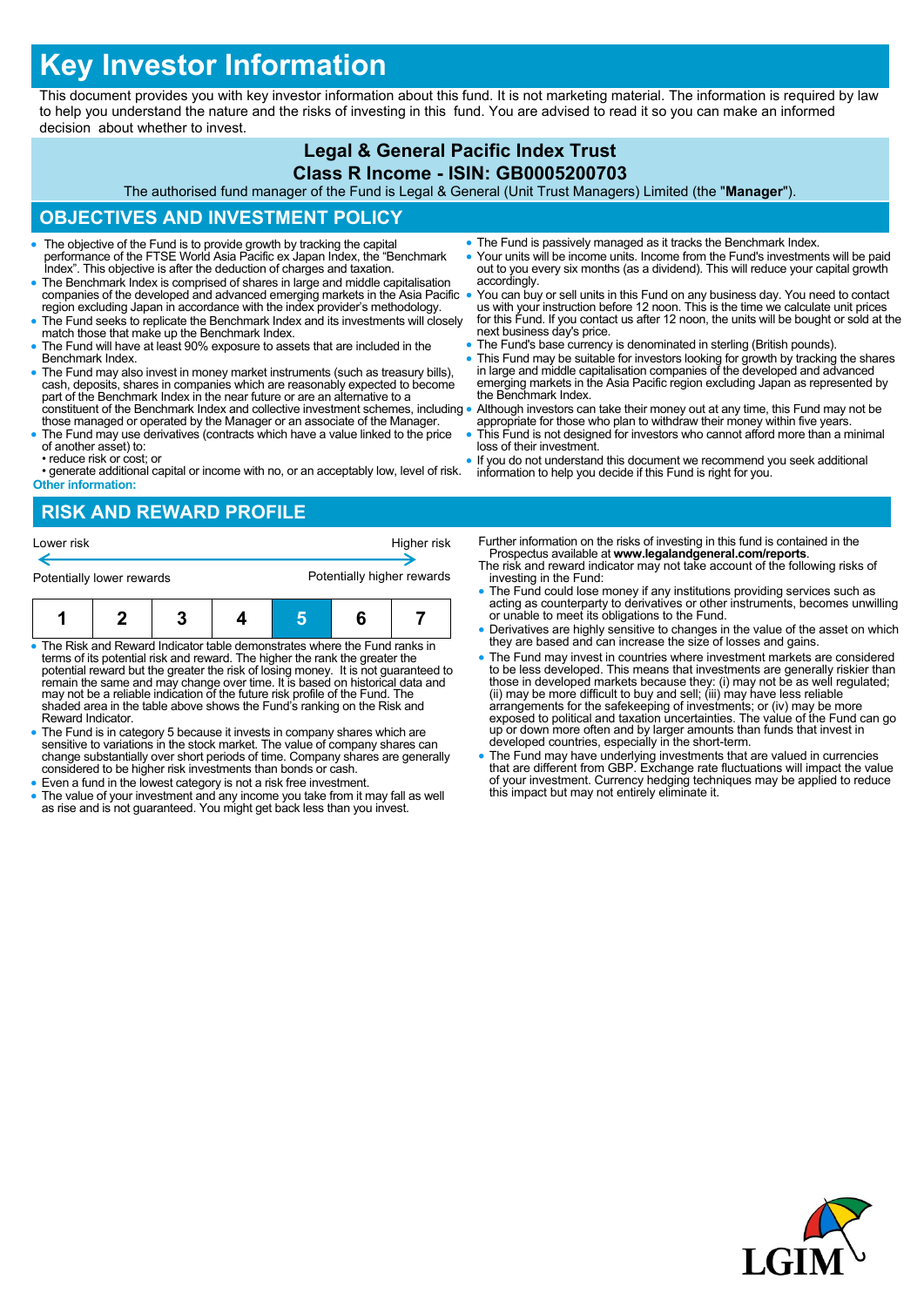# **Key Investor Information**

This document provides you with key investor information about this fund. It is not marketing material. The information is required by law to help you understand the nature and the risks of investing in this fund. You are advised to read it so you can make an informed decision about whether to invest.

#### **Legal & General Pacific Index Trust Class R Income - ISIN: GB0005200703**

The authorised fund manager of the Fund is Legal & General (Unit Trust Managers) Limited (the "**Manager**").

## **OBJECTIVES AND INVESTMENT POLICY**

- The objective of the Fund is to provide growth by tracking the capital performance of the FTSE World Asia Pacific ex Japan Index, the "Benchmark Index". This objective is after the deduction of charges and taxation.
- The Benchmark Index is comprised of shares in large and middle capitalisation companies of the developed and advanced emerging markets in the Asia Pacific region excluding Japan in accordance with the index provider's methodology.
- The Fund seeks to replicate the Benchmark Index and its investments will closely match those that make up the Benchmark Index.
- The Fund will have at least 90% exposure to assets that are included in the Benchmark Index.
- The Fund may also invest in money market instruments (such as treasury bills), cash, deposits, shares in companies which are reasonably expected to become part of the Benchmark Index in the near future or are an alternat constituent of the Benchmark Index and collective investment schemes, including
- those managed or operated by the Manager or an associate of the Manager. The Fund may use derivatives (contracts which have a value linked to the price of another asset) to:
- reduce risk or cost; or

• generate additional capital or income with no, or an acceptably low, level of risk. **Other information:**

- The Fund is passively managed as it tracks the Benchmark Index.
- Your units will be income units. Income from the Fund's investments will be paid out to you every six months (as a dividend). This will reduce your capital growth accordingly.
- You can buy or sell units in this Fund on any business day. You need to contact us with your instruction before 12 noon. This is the time we calculate unit prices for this Fund. If you contact us after 12 noon, the units will be bought or sold at the next business day's price.
- The Fund's base currency is denominated in sterling (British pounds).
- This Fund may be suitable for investors looking for growth by tracking the shares in large and middle capitalisation companies of the developed and advanced emerging markets in the Asia Pacific region excluding Japan as represented by the Benchmark Index.
- Although investors can take their money out at any time, this Fund may not be appropriate for those who plan to withdraw their money within five years.
- This Fund is not designed for investors who cannot afford more than a minimal loss of their investment.
- If you do not understand this document we recommend you seek additional information to help you decide if this Fund is right for you.

# **RISK AND REWARD PROFILE**



- The Risk and Reward Indicator table demonstrates where the Fund ranks in terms of its potential risk and reward. The higher the rank the greater the potential reward but the greater the risk of losing money. It is not guaranteed to remain the same and may change over time. It is based on historical data and may not be a reliable indication of the future risk profile of the Fund. The shaded area in the table above shows the Fund's ranking on the Risk and Reward Indicator.
- The Fund is in category 5 because it invests in company shares which are sensitive to variations in the stock market. The value of company shares can change substantially over short periods of time. Company shares are generally considered to be higher risk investments than bonds or cash.
- Even a fund in the lowest category is not a risk free investment.
- The value of your investment and any income you take from it may fall as well as rise and is not guaranteed. You might get back less than you invest.
- Further information on the risks of investing in this fund is contained in the Prospectus available at **www.legalandgeneral.com/reports**.
- The risk and reward indicator may not take account of the following risks of investing in the Fund:
- The Fund could lose money if any institutions providing services such as acting as counterparty to derivatives or other instruments, becomes unwilling or unable to meet its obligations to the Fund.
- Derivatives are highly sensitive to changes in the value of the asset on which they are based and can increase the size of losses and gains.
- The Fund may invest in countries where investment markets are considered to be less developed. This means that investments are generally riskier than<br>those in developed markets because they: (i) may not be as well regulated;<br>(ii) may be more difficult to buy and sell; (iii) may have less reliab exposed to political and taxation uncertainties. The value of the Fund can go up or down more often and by larger amounts than funds that invest in developed countries, especially in the short-term.
- The Fund may have underlying investments that are valued in currencies that are different from GBP. Exchange rate fluctuations will impact the value of your investment. Currency hedging techniques may be applied to reduce this impact but may not entirely eliminate it.